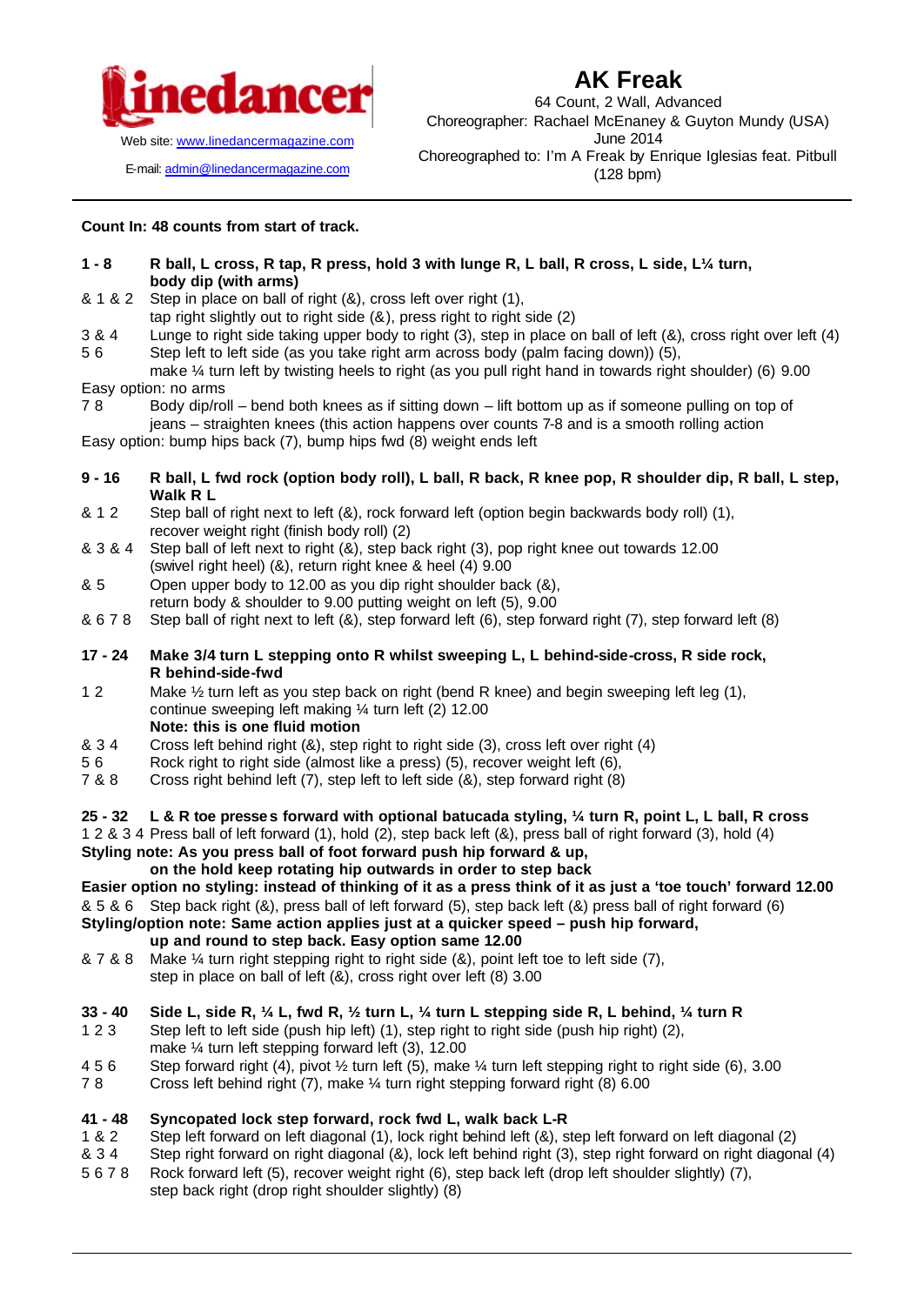

E-mail: admin@linedancermagazine.com

# **AK Freak**

64 Count, 2 Wall, Advanced Choreographer: Rachael McEnaney & Guyton Mundy (USA) June 2014 Choreographed to: I'm A Freak by Enrique Iglesias feat. Pitbull (128 bpm)

**Count In: 48 counts from start of track.** 

#### **1 - 8 R ball, L cross, R tap, R press, hold 3 with lunge R, L ball, R cross, L side, L¼ turn, body dip (with arms)**

- & 1 & 2 Step in place on ball of right (&), cross left over right (1),
- tap right slightly out to right side (&), press right to right side (2)
- 3 & 4 Lunge to right side taking upper body to right (3), step in place on ball of left (&), cross right over left (4)
- 5 6 Step left to left side (as you take right arm across body (palm facing down)) (5), make ¼ turn left by twisting heels to right (as you pull right hand in towards right shoulder) (6) 9.00

Easy option: no arms

7 8 Body dip/roll – bend both knees as if sitting down – lift bottom up as if someone pulling on top of jeans – straighten knees (this action happens over counts 7-8 and is a smooth rolling action

Easy option: bump hips back (7), bump hips fwd (8) weight ends left

- **9 16 R ball, L fwd rock (option body roll), L ball, R back, R knee pop, R shoulder dip, R ball, L step, Walk R L**
- & 1 2 Step ball of right next to left (&), rock forward left (option begin backwards body roll) (1), recover weight right (finish body roll) (2)
- & 3 & 4 Step ball of left next to right (&), step back right (3), pop right knee out towards 12.00 (swivel right heel) (&), return right knee & heel (4) 9.00
- & 5 Open upper body to 12.00 as you dip right shoulder back (&), return body & shoulder to 9.00 putting weight on left (5), 9.00
- & 6 7 8 Step ball of right next to left (&), step forward left (6), step forward right (7), step forward left (8)

### **17 - 24 Make 3/4 turn L stepping onto R whilst sweeping L, L behind-side-cross, R side rock, R behind-side-fwd**

- 1 2 Make  $\frac{1}{2}$  turn left as you step back on right (bend R knee) and begin sweeping left leg (1), continue sweeping left making ¼ turn left (2) 12.00 **Note: this is one fluid motion**
- & 3 4 Cross left behind right (&), step right to right side (3), cross left over right (4)
- 5 6 Rock right to right side (almost like a press) (5), recover weight left (6),
- 7 & 8 Cross right behind left (7), step left to left side (&), step forward right (8)

### **25 - 32 L & R toe presses forward with optional batucada styling, ¼ turn R, point L, L ball, R cross**

1 2 & 3 4 Press ball of left forward (1), hold (2), step back left (&), press ball of right forward (3), hold (4) **Styling note: As you press ball of foot forward push hip forward & up,** 

### **on the hold keep rotating hip outwards in order to step back**

## **Easier option no styling: instead of thinking of it as a press think of it as just a 'toe touch' forward 12.00**

- & 5 & 6 Step back right (&), press ball of left forward (5), step back left (&) press ball of right forward (6)
- **Styling/option note: Same action applies just at a quicker speed push hip forward, up and round to step back. Easy option same 12.00**
- & 7 & 8 Make ¼ turn right stepping right to right side (&), point left toe to left side (7), step in place on ball of left (&), cross right over left (8) 3.00
- **33 40 Side L, side R, ¼ L, fwd R, ½ turn L, ¼ turn L stepping side R, L behind, ¼ turn R**
- 1 2 3 Step left to left side (push hip left) (1), step right to right side (push hip right) (2), make ¼ turn left stepping forward left (3), 12.00
- 4 5 6 Step forward right (4), pivot ½ turn left (5), make ¼ turn left stepping right to right side (6), 3.00
- 7 8 Cross left behind right (7), make ¼ turn right stepping forward right (8) 6.00

### **41 - 48 Syncopated lock step forward, rock fwd L, walk back L-R**

- 1 & 2 Step left forward on left diagonal (1), lock right behind left (&), step left forward on left diagonal (2)
- & 3 4 Step right forward on right diagonal (&), lock left behind right (3), step right forward on right diagonal (4)
- 5 6 7 8 Rock forward left (5), recover weight right (6), step back left (drop left shoulder slightly) (7),
	- step back right (drop right shoulder slightly) (8)